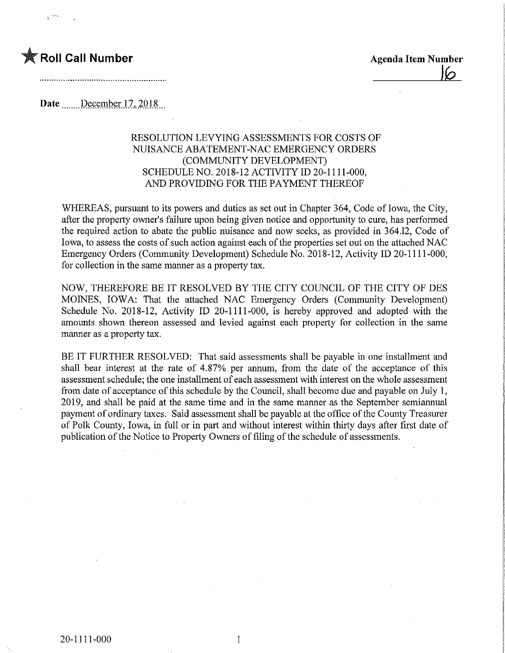Date December 17, 2018

## RESOLUTION LEVYING ASSESSMENTS FOR COSTS OF NUISANCE ABATEMENT-NAC EMERGENCY ORDERS (COMMUNITY DEVELOPMENT) SCHEDULE NO. 2018-12 ACTIVITY ID 20-1111-000, AND PROVIDING FOR THE PAYMENT THEREOF

WHEREAS, pursuant to its powers and duties as set out in Chapter 364, Code of Iowa, the City, after the property owner's failure upon being given notice and opportunity to cure, has performed the required action to abate the public nuisance and now seeks, as provided in 364.12, Code of Iowa, to assess the costs of such action against each of the properties set out on the attached NAG Emergency Orders (Community Development) Schedule No. 2018-12, Activity ID 20-1111-000, for collection in the same manner as a property tax.

NOW, THEREFORE BE IT RESOLVED BY THE CITY COUNCIL OF THE CITY OF DES MOINES, IOWA: That the attached NAC Emergency Orders (Community Development) Schedule No. 2018-12, Activity ID 20-1111-000, is hereby approved and adopted with the amounts shown thereon assessed and levied against each property for collection in the same manner as a property tax.

BE IT FURTHER RESOLVED: That said assessments shall be payable in one installment and shall bear interest at the rate of 4.87% per annum, from the date of the acceptance of this assessment schedule; the one installment of each assessment with interest on the whole assessment from date of acceptance of this schedule by the Council, shall become due and payable on July 1, 2019, and shall be paid at the same time and in the same manner as the September semiannual payment of ordinary taxes. Said assessment shall be payable at the office of the County Treasurer of Polk County, Iowa, in full or in part and without interest within thirty days after first date of publication of the Notice to Property Owners of filing of the schedule of assessments.

 $\mathbf{1}$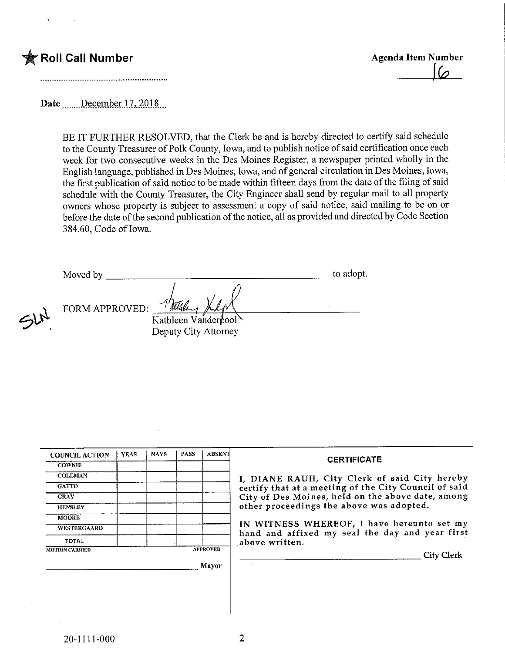

 $\leq h^{\lambda}$ 

 $\sqrt{2}$ 

Date December 17, 2018

BE IT FURTHER RESOLVED, that the Clerk be and is hereby directed to certify said schedule to the County Treasurer of Polk County, Iowa, and to publish notice of said certification once each week for two consecutive weeks in the Des Moines Register, a newspaper printed wholly in the English language, published in Des Moines, Iowa, and of general circulation in Des Moines, Iowa, the first publication of said notice to be made within fifteen days from the date of the filing of said schedule with the County Treasurer, the City Engineer shall send by regular mail to all property owners whose property is subject to assessment a copy of said notice, said mailing to be on or before the date of the second publication of the notice, all as provided and directed by Code Section 384.60, Code of Iowa.

Moved by to adopt. FORM APPROVED; Kathleen Vanderbool Deputy City Attorney

| <b>COUNCIL ACTION</b> | <b>YEAS</b> | <b>NAYS</b> | <b>PASS</b> | <b>ABSENT</b>   |                   |
|-----------------------|-------------|-------------|-------------|-----------------|-------------------|
| <b>COWNIE</b>         |             |             |             |                 |                   |
| <b>COLEMAN</b>        |             |             |             |                 | I, DIAN           |
| <b>GATTO</b>          |             |             |             |                 | certify t         |
| <b>GRAY</b>           |             |             |             |                 | City of 1         |
| <b>HENSLEY</b>        |             |             |             |                 | other pr          |
| <b>MOORE</b>          |             |             |             |                 |                   |
| WESTERGAARD           |             |             |             |                 | IN WIT<br>hand ar |
| TOTAL                 |             |             |             |                 | above w           |
| <b>MOTION CARRIED</b> |             |             |             | <b>APPROVED</b> |                   |
|                       |             |             |             | Mayor           |                   |

## **CERTIFICATE**

IE RAUH, City Clerk of said City hereby hat at a meeting of the City Council of said Des Moines, held on the above date, among oceedings the above was adopted.

NESS WHEREOF, I have hereunto set my id affixed my seal the day and year first ritten.

City Clerk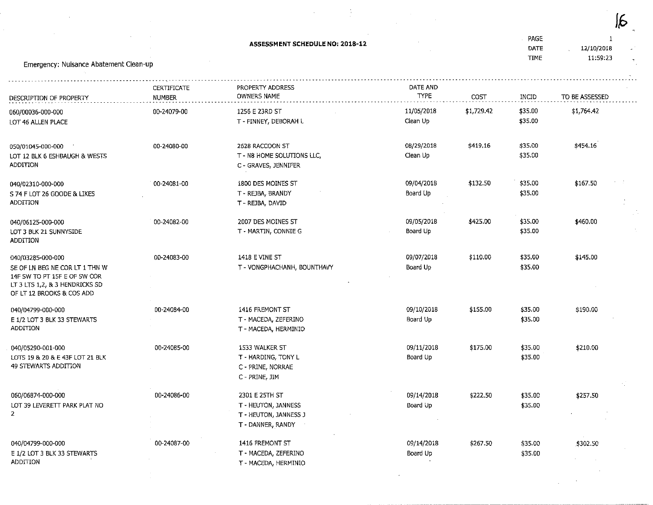|                                                                                                                                                    |                              |                                                                                     |                        |            |                             |                        | $\overline{d}$ |  |
|----------------------------------------------------------------------------------------------------------------------------------------------------|------------------------------|-------------------------------------------------------------------------------------|------------------------|------------|-----------------------------|------------------------|----------------|--|
| Emergency: Nuisance Abatement Clean-up                                                                                                             |                              | ASSESSMENT SCHEDULE NO: 2018-12                                                     |                        |            | PAGE<br>DATE<br><b>TIME</b> | 12/10/2018<br>11:59:23 |                |  |
| DESCRIPTION OF PROPERTY                                                                                                                            | CERTIFICATE<br><b>NUMBER</b> | PROPERTY ADDRESS<br>OWNERS NAME                                                     | DATE AND<br>TYPE       | COST       | INCID                       | TO BE ASSESSED         |                |  |
| 060/00036-000-000<br>LOT 46 ALLEN PLACE                                                                                                            | 00-24079-00                  | 1256 E 23RD ST<br>T - FINNEY, DEBORAH L                                             | 11/05/2018<br>Clean Up | \$1,729.42 | \$35.00<br>\$35.00          | \$1,764.42             |                |  |
| 050/01045-000-000<br>LOT 12 BLK 6 ESHBAUGH & WESTS<br><b>ADDITION</b>                                                                              | 00-24080-00                  | 2628 RACCOON ST<br>T - N8 HOME SOLUTIONS LLC,<br>C - GRAVES, JENNIFER               | 08/29/2018<br>Clean Up | \$419,16   | \$35.00<br>\$35.00          | \$454.16               |                |  |
| 040/02310-000-000<br>S 74 F LOT 26 GOODE & LIKES<br><b>ADDITION</b>                                                                                | 00-24081-00                  | 1800 DES MOINES ST<br>T - REJBA, BRANDY<br>T - REJBA, DAVID                         | 09/04/2018<br>Board Up | \$132.50   | \$35.00<br>\$35.00          | \$167,50               |                |  |
| 040/06125-000-000<br>LOT 3 BLK 21 SUNNYSIDE<br><b>ADDITION</b>                                                                                     | 00-24082-00                  | 2007 DES MOINES ST<br>T - MARTIN, CONNIE G                                          | 09/05/2018<br>Board Up | \$425.00   | \$35.00<br>\$35.00          | \$460.00               |                |  |
| 040/03285-000-000<br>SE OF LN BEG NE COR LT 1 THN W<br>14F SW TO PT 15F E OF SW COR<br>LT 3 LTS 1,2, & 3 HENDRICKS SD<br>OF LT 12 BROOKS & COS ADD | 00-24083-00                  | 1418 E VINE ST<br>T - VONGPHACHANH, BOUNTHAVY                                       | 09/07/2018<br>Board Up | \$110.00   | \$35.00<br>\$35,00          | \$145.00               |                |  |
| 040/04799-000-000<br>E 1/2 LOT 3 BLK 33 STEWARTS<br>ADDITION                                                                                       | 00-24084-00                  | 1416 FREMONT ST<br>T - MACEDA, ZEFERINO<br>T - MACEDA, HERMINIO                     | 09/10/2018<br>Board Up | \$155.00   | \$35.00<br>\$35.00          | \$190.00               |                |  |
| 040/05290-001-000<br>LOTS 19 & 20 & E 43F LOT 21 BLK<br>49 STEWARTS ADDITION                                                                       | 00-24085-00                  | 1533 WALKER ST<br>T - HARDING, TONY L<br>C - PRINE, NORRAE<br>C - PRINE, JIM        | 09/11/2018<br>Board Up | \$175.00   | \$35.00<br>\$35.00          | \$210.00               | УĴ             |  |
| 060/06874-000-000<br>LOT 39 LEVERETT PARK PLAT NO                                                                                                  | 00-24086-00                  | 2301 E 25TH ST<br>T - HEUTON, JANNESS<br>T - HEUTON, JANNESS J<br>T - DANNER, RANDY | 09/14/2018<br>Board Up | \$222.50   | \$35.00<br>\$35.00          | \$257.50               |                |  |
| 040/04799-000-000<br>E 1/2 LOT 3 BLK 33 STEWARTS<br>ADDITION                                                                                       | 00-24087-00                  | 1416 FREMONT ST<br>T - MACEDA, ZEFERINO<br>T - MACEDA, HERMINIO                     | 09/14/2018<br>Board Up | \$267.50   | \$35.00<br>\$35.00          | \$302.50               |                |  |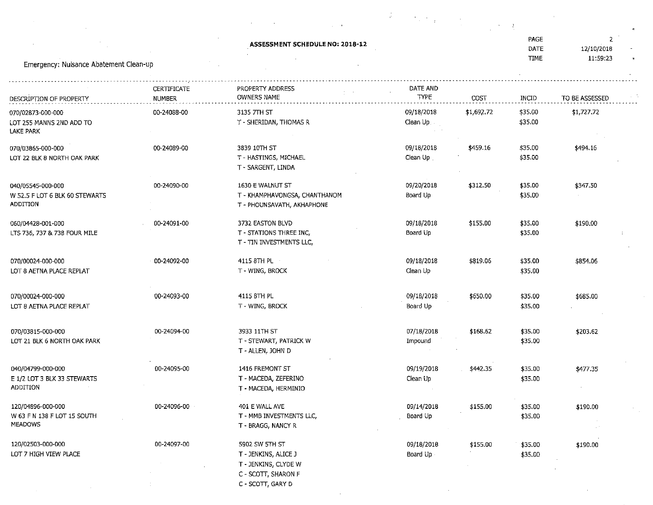|                                                                        |             |                                                                                                            | $\mathcal{G}^{\mathcal{C}}$<br>$\mathcal{O}(\mathcal{O}_\mathcal{A})$ , and $\mathcal{O}(\mathcal{O}_\mathcal{A})$ |            |                    |                |  |
|------------------------------------------------------------------------|-------------|------------------------------------------------------------------------------------------------------------|--------------------------------------------------------------------------------------------------------------------|------------|--------------------|----------------|--|
|                                                                        |             | ASSESSMENT SCHEDULE NO: 2018-12                                                                            |                                                                                                                    |            | PAGE               | $\mathbf{2}$   |  |
|                                                                        |             |                                                                                                            |                                                                                                                    |            | DATE               | 12/10/2018     |  |
| Emergency: Nuisance Abatement Clean-up                                 |             |                                                                                                            |                                                                                                                    |            | <b>TIME</b>        | 11:59:23       |  |
|                                                                        | CERTIFICATE | PROPERTY ADDRESS                                                                                           | DATE AND                                                                                                           |            |                    |                |  |
| DESCRIPTION OF PROPERTY                                                | NUMBER      | <b>OWNERS NAME</b>                                                                                         | TYPE                                                                                                               | COST       | INCID              | TO BE ASSESSED |  |
| 070/02873-000-000<br>LOT 255 MANNS 2ND ADD TO<br><b>LAKE PARK</b>      | 00-24088-00 | 3135 7TH ST<br>T - SHERIDAN, THOMAS R                                                                      | 09/18/2018<br>Clean Up                                                                                             | \$1,692.72 | \$35.00<br>\$35.00 | \$1,727.72     |  |
| 070/03865-000-000<br>LOT 22 BLK 8 NORTH OAK PARK                       | 00-24089-00 | 3839 10TH ST<br>T - HASTINGS, MICHAEL<br>T - SARGENT, LINDA                                                | 09/18/2018<br>Clean Up                                                                                             | \$459.16   | \$35,00<br>\$35.00 | \$494.16       |  |
| 040/05545-000-000<br>W 52.5 F LOT 6 BLK 60 STEWARTS<br><b>ADDITION</b> | 00-24090-00 | 1630 E WALNUT ST<br>T - KHAMPHAVONGSA, CHANTHANOM<br>T - PHOUNSAVATH, AKHAPHONE                            | 09/20/2018<br>Board Up                                                                                             | \$312.50   | \$35.00<br>\$35.00 | \$347.50       |  |
| 060/04428-001-000<br>LTS 736, 737 & 738 FOUR MILE                      | 00-24091-00 | 3732 EASTON BLVD<br>T - STATIONS THREE INC,<br>T - TIN INVESTMENTS LLC,                                    | 09/18/2018<br>Board Up                                                                                             | \$155.00   | \$35,00<br>\$35.00 | \$190.00       |  |
| 070/00024-000-000<br>LOT 8 AETNA PLACE REPLAT                          | 00-24092-00 | 4115 8TH PL<br>T - WING, BROCK                                                                             | 09/18/2018<br>Clean Up                                                                                             | \$819.06   | \$35.00<br>\$35.00 | \$854.06       |  |
| 070/00024-000-000<br>LOT 8 AETNA PLACE REPLAT                          | 00-24093-00 | 4115 8TH PL<br>T - WING, BROCK                                                                             | 09/18/2018<br>Board Up                                                                                             | \$650.00   | \$35.00<br>\$35.00 | \$685.00       |  |
| 070/03815-000-000<br>LOT 21 BLK 6 NORTH OAK PARK                       | 00-24094-00 | 3933 11TH ST<br>T - STEWART, PATRICK W<br>T - ALLEN, JOHN D                                                | 07/18/2018<br>Impound                                                                                              | \$168.62   | \$35.00<br>\$35.00 | \$203.62       |  |
| 040/04799-000-000<br>E 1/2 LOT 3 BLK 33 STEWARTS<br><b>ADDITION</b>    | 00-24095-00 | 1416 FREMONT ST<br>T - MACEDA, ZEFERINO<br>T - MACEDA, HERMINIO                                            | 09/19/2018<br>Clean Up                                                                                             | \$442.35   | \$35.00<br>\$35.00 | \$477.35       |  |
| 120/04896-000-000<br>W 63 F N 138 F LOT 15 SOUTH<br><b>MEADOWS</b>     | 00-24096-00 | 401 E WALL AVE<br>T - MMB INVESTMENTS LLC,<br>T - BRAGG, NANCY R                                           | 09/14/2018<br>Board Up                                                                                             | \$155.00   | \$35.00<br>\$35.00 | \$190.00       |  |
| 120/02503-000-000<br>LOT 7 HIGH VIEW PLACE                             | 00-24097-00 | 5902 SW 5TH ST<br>T - JENKINS, ALICE J<br>T - JENKINS, CLYDE W<br>C - SCOTT, SHARON F<br>C - SCOTT, GARY D | 09/18/2018<br>Board Up                                                                                             | \$155.00   | \$35.00<br>\$35.00 | \$190.00       |  |
|                                                                        |             |                                                                                                            |                                                                                                                    |            |                    |                |  |

 $\bar{\mathcal{A}}$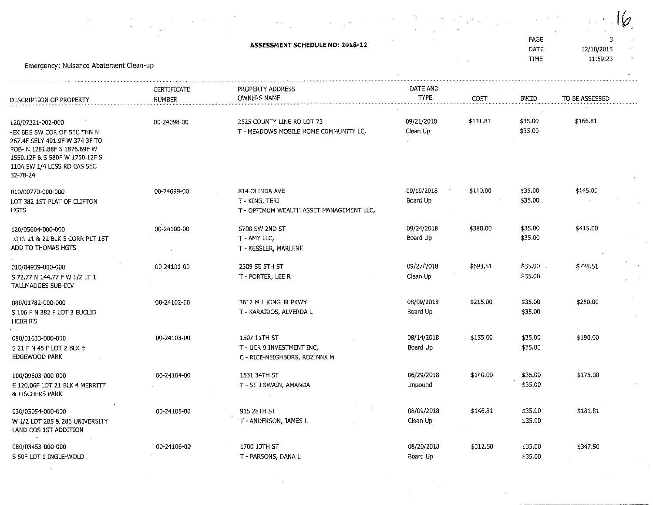|                                                                                                                                                                                                 |                    |                                                                            |                        |          |                    |                 | Ø  |
|-------------------------------------------------------------------------------------------------------------------------------------------------------------------------------------------------|--------------------|----------------------------------------------------------------------------|------------------------|----------|--------------------|-----------------|----|
|                                                                                                                                                                                                 |                    | <b>ASSESSMENT SCHEDULE NO: 2018-12</b>                                     |                        |          | PAGE<br>DATE       | 3<br>12/10/2018 |    |
| Emergency: Nuisance Abatement Clean-up                                                                                                                                                          |                    |                                                                            |                        |          | <b>TIME</b>        | 11:59:23        |    |
|                                                                                                                                                                                                 | <b>CERTIFICATE</b> | PROPERTY ADDRESS                                                           | DATE AND               |          |                    |                 |    |
| DESCRIPTION OF PROPERTY                                                                                                                                                                         | <b>NUMBER</b>      | OWNERS NAME                                                                | <b>TYPE</b>            | COST     | INCID              | TO BE ASSESSED  |    |
| 120/07321-002-000<br>-ex beg SW Cor of SEC THN N<br>267.4F SELY 491.9F W 374.3F TO<br>POB- N 1281.88F S 1876.69F W<br>1550.12F & S 580F W 1750.12F S<br>110A SW 1/4 LESS RD EAS SEC<br>32-78-24 | 00-24098-00        | 2525 COUNTY LINE RD LOT 73<br>T - MEADOWS MOBILE HOME COMMUNITY LC,        | 09/21/2018<br>Clean Up | \$131.81 | \$35.00<br>\$35.00 | \$166.81        |    |
| 010/00770-000-000                                                                                                                                                                               | 00-24099-00        | 814 OLINDA AVE                                                             | 09/19/2018             | \$110.00 | \$35.00            | \$145.00        |    |
| LOT 382 1ST PLAT OF CLIFTON<br>HGTS                                                                                                                                                             |                    | T - KING, TERI<br>T - OPTIMUM WEALTH ASSET MANAGEMENT LLC,                 | Board Up               |          | \$35.00            |                 |    |
| 120/05604-000-000<br>LOTS 21 & 22 BLK 5 CORR PLT 15T<br>ADD TO THOMAS HGTS                                                                                                                      | 00-24100-00        | 5708 SW 2ND ST<br>T - AMY LLC,<br>T - KESSLER, MARLENE                     | 09/24/2018<br>Board Up | \$380.00 | \$35.00<br>\$35.00 | \$415.00        |    |
| 010/04939-000-000<br>S 72.77 N 144.77 F W 1/2 LT 1<br>TALLMADGES SUB-DIV                                                                                                                        | 00-24101-00        | 2309 SE 5TH ST<br>T - PORTER, LEE R                                        | 09/27/2018<br>Clean Up | \$693.51 | \$35.00<br>\$35.00 | \$728.51        |    |
| 080/01782-000-000<br>S 106 F N 382 F LOT 3 EUCLID<br><b>HEIGHTS</b>                                                                                                                             | 00-24102-00        | 3612 M L KING JR PKWY<br>T - KARAIDOS, ALVERDA L                           | 08/09/2018<br>Board Up | \$215.00 | \$35.00<br>\$35.00 | \$250.00        |    |
| 080/01633-000-000<br>S 21 F N 45 F LOT 2 BLK E<br>EDGEWOOD PARK                                                                                                                                 | 00-24103-00        | 1507 11TH ST<br>T - UCR 9 INVESTMENT INC,<br>C - RICE-NEIGHBORS, ROZINNA M | 08/14/2018<br>Board Up | \$155.00 | \$35.00<br>\$35.00 | \$190.00        |    |
| 100/09603-000-000<br>E 120.06F LOT 21 BLK 4 MERRITT<br>& FISCHERS PARK                                                                                                                          | 00-24104-00        | 1531 34TH ST<br>T - ST J SWAIN, AMANDA                                     | 06/29/2018<br>Impound  | \$140.00 | \$35.00<br>\$35.00 | \$175,00        |    |
| 030/05054-000-000<br>W 1/2 LOT 285 & 286 UNIVERSITY<br>LAND COS 1ST ADDITION                                                                                                                    | 00-24105-00        | 915 28TH ST<br>T - ANDERSON, JAMES L                                       | 08/09/2018<br>Clean Up | \$146.81 | \$35.00<br>\$35.00 | \$181.81        |    |
| $\mathbf{r}_{\mathbf{A}}$<br>080/03453-000-000<br>S 50F LOT 1 INGLE-WOLD                                                                                                                        | 00-24106-00        | 1700 13TH ST<br>T - PARSONS, DANA L                                        | 08/20/2018<br>Board Up | \$312.50 | \$35.00<br>\$35.00 | \$347.50        | A. |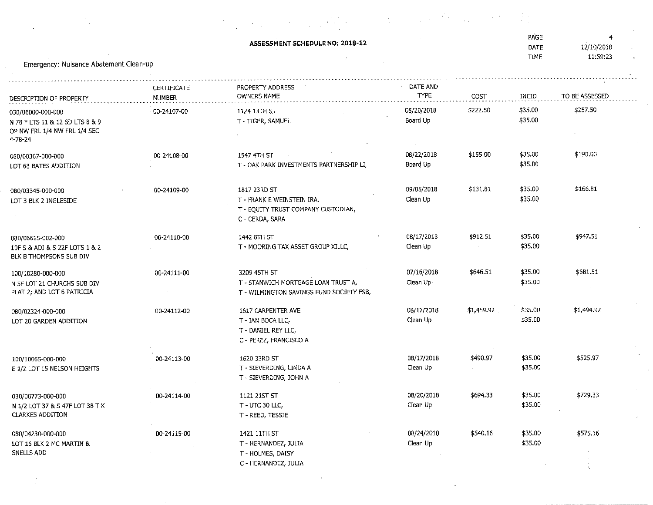|                                                                                                 |                                     | ASSESSMENT SCHEDULE NO: 2018-12                                                                      |                         |            | PAGE<br>DATE<br>TIME | 4<br>12/10/2018<br>11:59:23 |
|-------------------------------------------------------------------------------------------------|-------------------------------------|------------------------------------------------------------------------------------------------------|-------------------------|------------|----------------------|-----------------------------|
| Emergency: Nuisance Abatement Clean-up                                                          |                                     |                                                                                                      |                         |            |                      |                             |
| DESCRIPTION OF PROPERTY                                                                         | <b>CERTIFICATE</b><br><b>NUMBER</b> | PROPERTY ADDRESS<br><b>OWNERS NAME</b>                                                               | DATE AND<br><b>TYPE</b> | COST       | INCID                | TO BE ASSESSED              |
| 030/06000-000-000<br>N 78 F LTS 11 & 12 SD LTS 8 & 9<br>OP NW FRL 1/4 NW FRL 1/4 SEC<br>4-78-24 | 00-24107-00                         | 1124 13TH ST<br>T - TIGER, SAMUEL                                                                    | 08/20/2018<br>Board Up  | \$222.50   | \$35.00<br>\$35.00   | \$257.50                    |
| 080/00367-000-000<br>LOT 63 BATES ADDITION                                                      | 00-24108-00                         | 1547 4TH ST<br>T - OAK PARK INVESTMENTS PARTNERSHIP LI,                                              | 08/22/2018<br>Board Up  | \$155.00   | \$35.00<br>\$35.00   | \$190.00                    |
| 080/03345-000-000<br>LOT 3 BLK 2 INGLESIDE                                                      | 00-24109-00                         | 1817 23RD ST<br>T - FRANK E WEINSTEIN IRA,<br>T - EQUITY TRUST COMPANY CUSTODIAN,<br>C - CERDA, SARA | 09/05/2018<br>Clean Up  | \$131.81   | \$35.00<br>\$35.00   | \$166.81                    |
| 080/06615-002-000<br>10F S & ADJ & 5 22F LOTS 1 & 2<br>BLK B THOMPSONS SUB DIV                  | 00-24110-00                         | 1442 8TH ST<br>T - MOORING TAX ASSET GROUP XILLC,                                                    | 08/17/2018<br>Clean Up  | \$912.51   | \$35.00<br>\$35.00   | \$947.51                    |
| 100/10280-000-000<br>N 5F LOT 21 CHURCHS SUB DIV<br>PLAT 2; AND LOT 6 PATRICIA                  | 00-24111-00                         | 3209 45TH ST<br>T - STANWICH MORTGAGE LOAN TRUST A,<br>T - WILMINGTON SAVINGS FUND SOCIETY FSB,      | 07/16/2018<br>Clean Up- | \$646.51   | \$35.00<br>\$35.00   | \$681.51                    |
| 080/02324-000-000<br>LOT 20 GARDEN ADDITION                                                     | 00-24112-00                         | 1617 CARPENTER AVE<br>T - IAN BOCA LLC,<br>T - DANIEL REY LLC,<br>C - PEREZ, FRANCISCO A             | 08/17/2018<br>Clean Up  | \$1,459.92 | \$35.00<br>\$35.00   | \$1,494.92                  |
| 100/10065-000-000<br>E 1/2 LOT 15 NELSON HEIGHTS                                                | 00-24113-00                         | 1620 33RD ST<br>T - SIEVERDING, LINDA A<br>T - SIEVERDING, JOHN A                                    | 08/17/2018<br>Clean Up  | \$490.97   | \$35.00<br>\$35.00   | \$525.97                    |
| 030/00773-000-000<br>N 1/2 LOT 37 & S 47F LOT 38 T K<br><b>CLARKES ADDITION</b>                 | 00-24114-00                         | 1121 21ST ST<br>T - UTC 30 LLC,<br>T - REED, TESSIE                                                  | 08/20/2018<br>Clean Up  | \$694.33   | \$35.00<br>\$35.00   | \$729.33                    |
| 080/04230-000-000<br>LOT 16 BLK 2 MC MARTIN &<br>SNELLS ADD                                     | 00-24115-00                         | 1421 11TH ST<br>T - HERNANDEZ, JULIA<br>T - HOLMES, DAISY<br>C - HERNANDEZ, JULIA                    | 08/24/2018<br>Clean Up  | \$540.16   | \$35.00<br>\$35.00   | \$575.16                    |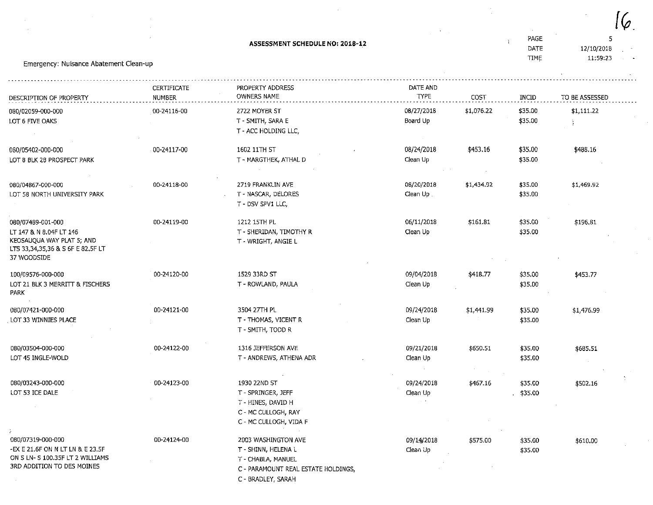Emergency: Nuisance Abatement Cfean-up DATE TIME 12/10/2018 11:59^3DESCRIPTION OF PROPERTTCERTIFICATENUMBERPROPERTY ADDRESS OWNERS NAMEDATE AND T<PE08/27/2D18Board Up08/24/2018Clean Up08/20/2018Ciean Up .06/11/2018Clean UpCOST\$1,076,22\$453.16\$1,434.92\$161.81INCID\$35.00 \$35.00\$35.00 \$35.00\$35.00 \$35.00\$35.00 \$35.00TO BE ASSESSED\$1,111.22\$488.16\$1,469.92\$196,81080/02059-000-000LOT 6 FIVE OAKS080/05402-000-000 LOT 8 BLK 28 PROSPECT PARK080/04867-000-000 LOT 58 NORTH UNIVERSITY PARK080/07489-001-000 LT 147 & N 8.04F LT 146KEOSAUQUA WAY PLAT 5; ANL ITS 33,34^35,36 & S 6F E 82,5F LT37 WOODSIDE100/09576-000-000LOT 21 BLK 3 MERRITT & FISCHERS PARK080/07421-000-000LOT 33 WINNIES PLACI 00-24116-0000-24117-0000-24118-0000-24119-0000-24120-0000-24121-002722 MOVER STT - SMITH, SARA E T - ACC HOLDING LLC,1602 11TH STT - MARGTHEK, ATHAL L 2719 FRANKLIN AVE T-NASCAR, DELOREST - DSV SPV1 LLC,1212 15TH PL T-SHERIDAN, TIMOTHY RT-WRIGHT.ANGIEL1529 33RD ST T-ROWLAND, PAULA3504 27TH PL T - THOMAS/ VICENT RT - SMITH, TODD R 09/04/2018Clean Up09/24/2018Clean Up\$418.77\$1,441,99\$35.00 \$35,00\$35.00 \$35.00\$453,77\$1,476.99OBO/03504-000-000LOT 45 INGLE-WOLD 00-24122-00 1316 JEFFERSON AVE T - ANDREWS/ ATHENA ADR09/21/2018Clean Up\$650.51 \$35.00 \$35.00\$685.51080/03243-000-000LOT 53 ICE DALE00-24123-00080/07319-000-00000-24124-001930 22ND ST T-SPRINGER, JEFFT - HINES, DAVID <del>l</del> C - MC CULLOGH, RAY C - MC CULLOGH, VIDA F2003 WASHINGTON AVE09/24/2018Clean Up $\sim$   $\sim$ 09/1^2018\$467.16\$575.00\$35,00 \$35,00\$35.00\$502,16\$610.00

ASSESSMENT SCHEDULE NO: 2018-12

 $\,$ l $(\varphi$ 

5

PAGE

\$35.00

 -EX E 21.6F ON N LTLH &E 23.5F ON S LN- 5 100.35F LT 2 WILLIAMS3RD ADDFTION TO DES MOINES

C - PARAMOUNT REAL ESTATE HOLDINGS,

Clean Up

C - BRADLEY, SARAH

T-SHINN, HELENA LT-CHABLA/MANUEL